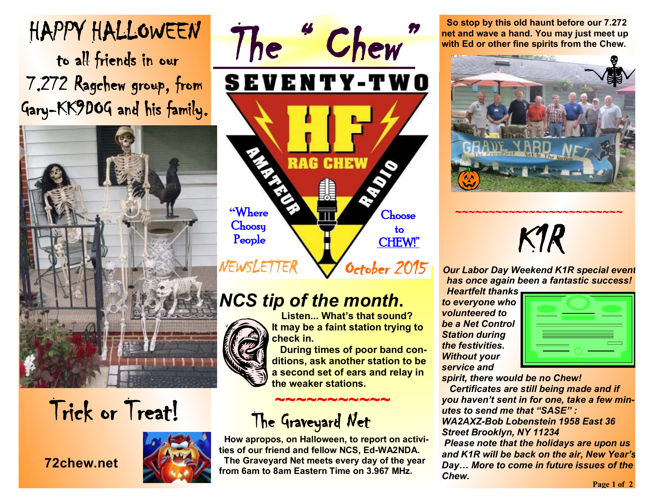# **HAPPY HALLOWEEN**

 **to all friends in our 7.272 Ragchew group, from Gary-KK9DOG and his family.** 



# **Trick or Treat!**

#### **72chew.net**





## *NCS tip of the month***.**



 **Listen... What's that sound? It may be a faint station trying to check in.** 

 **During times of poor band conditions, ask another station to be a second set of ears and relay in the weaker stations.** 

## **~~~~~~~~~~~ The Graveyard Net**

 **How apropos, on Halloween, to report on activities of our friend and fellow NCS, Ed-WA2NDA. The Graveyard Net meets every day of the year from 6am to 8am Eastern Time on 3.967 MHz.**

 **So stop by this old haunt before our 7.272 net and wave a hand. You may just meet up with Ed or other fine spirits from the Chew.**



# *K1R*

**~~~~~~~~~~~~~~~~~~~~~~~~~** 

*Our Labor Day Weekend K1R special event has once again been a fantastic success!* 

 *Heartfelt thanks to everyone who volunteered to be a Net Control Station during the festivities. Without your service and* 



*spirit, there would be no Chew!* 

 *Certificates are still being made and if you haven't sent in for one, take a few minutes to send me that "SASE" :* 

*WA2AXZ-Bob Lobenstein 1958 East 36 Street Brooklyn, NY 11234* 

*Please note that the holidays are upon us and K1R will be back on the air, New Year's Day… More to come in future issues of the Chew.*